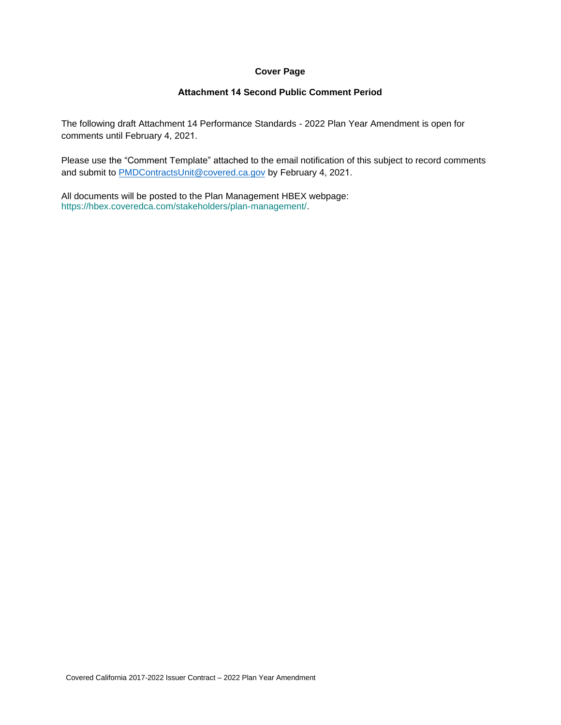#### **Cover Page**

#### **Attachment 14 Second Public Comment Period**

The following draft Attachment 14 Performance Standards - 2022 Plan Year Amendment is open for comments until February 4, 2021.

Please use the "Comment Template" attached to the email notification of this subject to record comments and submit to [PMDContractsUnit@covered.ca.gov](mailto:PMDContractsUnit@covered.ca.gov) by February 4, 2021.

All documents will be posted to the Plan Management HBEX webpage: https://hbex.coveredca.com/stakeholders/plan-management/.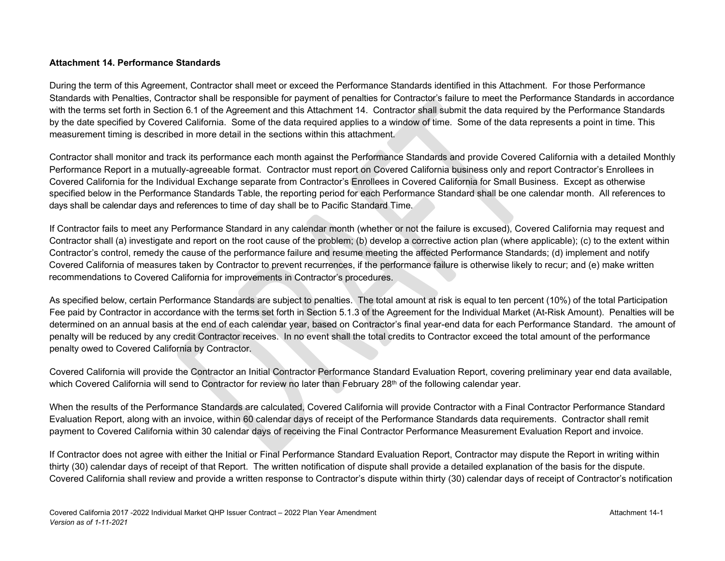#### **Attachment 14. Performance Standards**

During the term of this Agreement, Contractor shall meet or exceed the Performance Standards identified in this Attachment. For those Performance Standards with Penalties, Contractor shall be responsible for payment of penalties for Contractor's failure to meet the Performance Standards in accordance with the terms set forth in Section 6.1 of the Agreement and this Attachment 14. Contractor shall submit the data required by the Performance Standards by the date specified by Covered California. Some of the data required applies to a window of time. Some of the data represents a point in time. This measurement timing is described in more detail in the sections within this attachment.

Contractor shall monitor and track its performance each month against the Performance Standards and provide Covered California with a detailed Monthly Performance Report in a mutually-agreeable format. Contractor must report on Covered California business only and report Contractor's Enrollees in Covered California for the Individual Exchange separate from Contractor's Enrollees in Covered California for Small Business. Except as otherwise specified below in the Performance Standards Table, the reporting period for each Performance Standard shall be one calendar month. All references to days shall be calendar days and references to time of day shall be to Pacific Standard Time.

If Contractor fails to meet any Performance Standard in any calendar month (whether or not the failure is excused), Covered California may request and Contractor shall (a) investigate and report on the root cause of the problem; (b) develop a corrective action plan (where applicable); (c) to the extent within Contractor's control, remedy the cause of the performance failure and resume meeting the affected Performance Standards; (d) implement and notify Covered California of measures taken by Contractor to prevent recurrences, if the performance failure is otherwise likely to recur; and (e) make written recommendations to Covered California for improvements in Contractor's procedures.

As specified below, certain Performance Standards are subject to penalties. The total amount at risk is equal to ten percent (10%) of the total Participation Fee paid by Contractor in accordance with the terms set forth in Section 5.1.3 of the Agreement for the Individual Market (At-Risk Amount). Penalties will be determined on an annual basis at the end of each calendar year, based on Contractor's final year-end data for each Performance Standard. The amount of penalty will be reduced by any credit Contractor receives. In no event shall the total credits to Contractor exceed the total amount of the performance penalty owed to Covered California by Contractor.

Covered California will provide the Contractor an Initial Contractor Performance Standard Evaluation Report, covering preliminary year end data available, which Covered California will send to Contractor for review no later than February 28<sup>th</sup> of the following calendar year.

When the results of the Performance Standards are calculated, Covered California will provide Contractor with a Final Contractor Performance Standard Evaluation Report, along with an invoice, within 60 calendar days of receipt of the Performance Standards data requirements. Contractor shall remit payment to Covered California within 30 calendar days of receiving the Final Contractor Performance Measurement Evaluation Report and invoice.

If Contractor does not agree with either the Initial or Final Performance Standard Evaluation Report, Contractor may dispute the Report in writing within thirty (30) calendar days of receipt of that Report. The written notification of dispute shall provide a detailed explanation of the basis for the dispute. Covered California shall review and provide a written response to Contractor's dispute within thirty (30) calendar days of receipt of Contractor's notification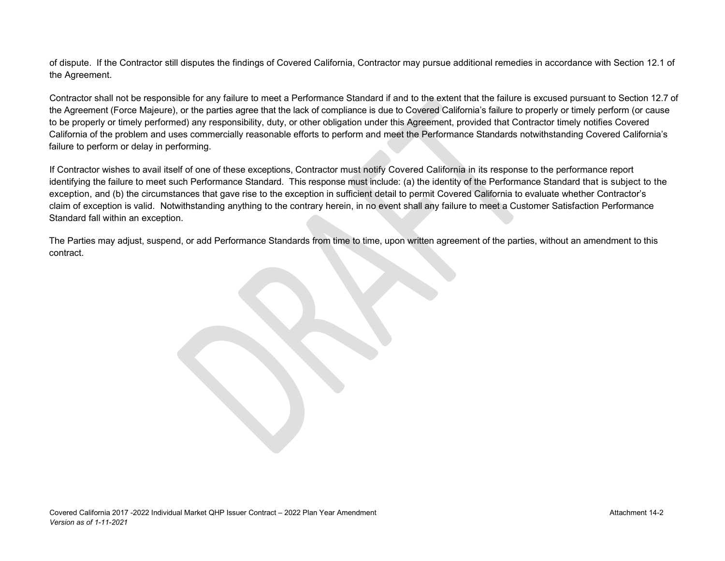of dispute. If the Contractor still disputes the findings of Covered California, Contractor may pursue additional remedies in accordance with Section 12.1 of the Agreement.

Contractor shall not be responsible for any failure to meet a Performance Standard if and to the extent that the failure is excused pursuant to Section 12.7 of the Agreement (Force Majeure), or the parties agree that the lack of compliance is due to Covered California's failure to properly or timely perform (or cause to be properly or timely performed) any responsibility, duty, or other obligation under this Agreement, provided that Contractor timely notifies Covered California of the problem and uses commercially reasonable efforts to perform and meet the Performance Standards notwithstanding Covered California's failure to perform or delay in performing.

If Contractor wishes to avail itself of one of these exceptions, Contractor must notify Covered California in its response to the performance report identifying the failure to meet such Performance Standard. This response must include: (a) the identity of the Performance Standard that is subject to the exception, and (b) the circumstances that gave rise to the exception in sufficient detail to permit Covered California to evaluate whether Contractor's claim of exception is valid. Notwithstanding anything to the contrary herein, in no event shall any failure to meet a Customer Satisfaction Performance Standard fall within an exception.

The Parties may adjust, suspend, or add Performance Standards from time to time, upon written agreement of the parties, without an amendment to this contract.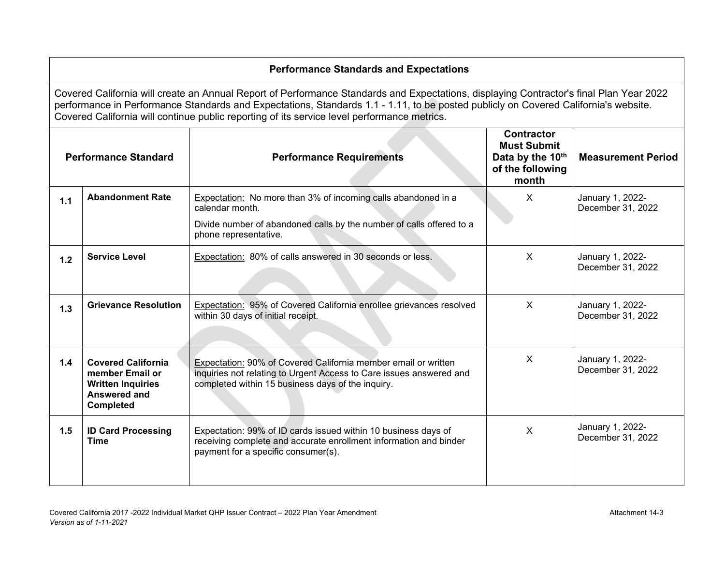# **Performance Standards and Expectations**

Covered California will create an Annual Report of Performance Standards and Expectations, displaying Contractor's final Plan Year 2022 performance in Performance Standards and Expectations, Standards 1.1 - 1.11, to be posted publicly on Covered California's website. Covered California will continue public reporting of its service level performance metrics.

| <b>Performance Standard</b> |                                                                                                                                                                                                                     | <b>Performance Requirements</b>                                                                                                                                                            | <b>Contractor</b><br><b>Must Submit</b><br>Data by the 10th<br>of the following<br>month | <b>Measurement Period</b>             |
|-----------------------------|---------------------------------------------------------------------------------------------------------------------------------------------------------------------------------------------------------------------|--------------------------------------------------------------------------------------------------------------------------------------------------------------------------------------------|------------------------------------------------------------------------------------------|---------------------------------------|
| 1.1                         | <b>Abandonment Rate</b><br><b>Expectation:</b> No more than 3% of incoming calls abandoned in a<br>calendar month.<br>Divide number of abandoned calls by the number of calls offered to a<br>phone representative. |                                                                                                                                                                                            | X                                                                                        | January 1, 2022-<br>December 31, 2022 |
| 1.2                         | <b>Service Level</b>                                                                                                                                                                                                | Expectation: 80% of calls answered in 30 seconds or less.                                                                                                                                  | X                                                                                        | January 1, 2022-<br>December 31, 2022 |
| 1.3                         | <b>Grievance Resolution</b>                                                                                                                                                                                         | Expectation: 95% of Covered California enrollee grievances resolved<br>within 30 days of initial receipt.                                                                                  | X                                                                                        | January 1, 2022-<br>December 31, 2022 |
| 1.4                         | <b>Covered California</b><br>member Email or<br><b>Written Inquiries</b><br><b>Answered and</b><br><b>Completed</b>                                                                                                 | Expectation: 90% of Covered California member email or written<br>inquiries not relating to Urgent Access to Care issues answered and<br>completed within 15 business days of the inquiry. | X                                                                                        | January 1, 2022-<br>December 31, 2022 |
| 1.5                         | <b>ID Card Processing</b><br><b>Time</b>                                                                                                                                                                            | Expectation: 99% of ID cards issued within 10 business days of<br>receiving complete and accurate enrollment information and binder<br>payment for a specific consumer(s).                 | X                                                                                        | January 1, 2022-<br>December 31, 2022 |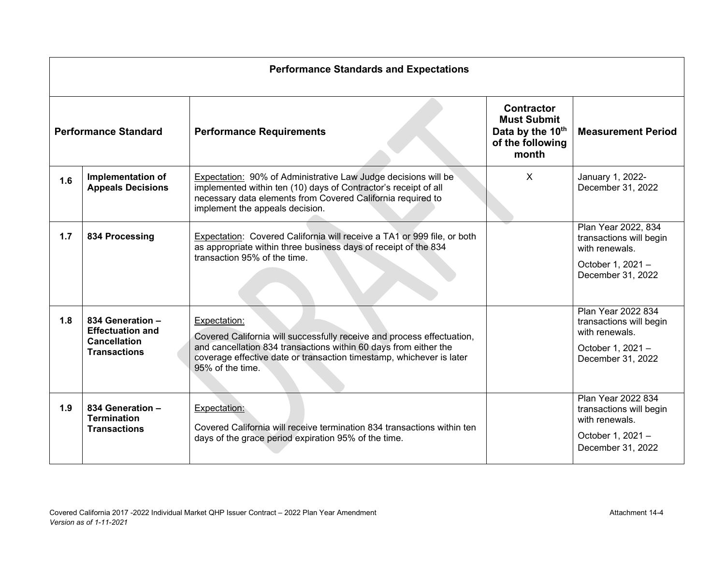|                                                                | <b>Performance Standards and Expectations</b>                                             |                                                                                                                                                                                                                                                        |                                                                                          |                                                                                                            |  |
|----------------------------------------------------------------|-------------------------------------------------------------------------------------------|--------------------------------------------------------------------------------------------------------------------------------------------------------------------------------------------------------------------------------------------------------|------------------------------------------------------------------------------------------|------------------------------------------------------------------------------------------------------------|--|
| <b>Performance Standard</b><br><b>Performance Requirements</b> |                                                                                           |                                                                                                                                                                                                                                                        | <b>Contractor</b><br><b>Must Submit</b><br>Data by the 10th<br>of the following<br>month | <b>Measurement Period</b>                                                                                  |  |
| 1.6                                                            | <b>Implementation of</b><br><b>Appeals Decisions</b>                                      | Expectation: 90% of Administrative Law Judge decisions will be<br>implemented within ten (10) days of Contractor's receipt of all<br>necessary data elements from Covered California required to<br>implement the appeals decision.                    | X                                                                                        | January 1, 2022-<br>December 31, 2022                                                                      |  |
| 1.7                                                            | 834 Processing                                                                            | Expectation: Covered California will receive a TA1 or 999 file, or both<br>as appropriate within three business days of receipt of the 834<br>transaction 95% of the time.                                                                             |                                                                                          | Plan Year 2022, 834<br>transactions will begin<br>with renewals.<br>October 1, 2021 -<br>December 31, 2022 |  |
| 1.8                                                            | 834 Generation -<br><b>Effectuation and</b><br><b>Cancellation</b><br><b>Transactions</b> | Expectation:<br>Covered California will successfully receive and process effectuation,<br>and cancellation 834 transactions within 60 days from either the<br>coverage effective date or transaction timestamp, whichever is later<br>95% of the time. |                                                                                          | Plan Year 2022 834<br>transactions will begin<br>with renewals.<br>October 1, 2021 -<br>December 31, 2022  |  |
| 1.9                                                            | 834 Generation -<br><b>Termination</b><br><b>Transactions</b>                             | Expectation:<br>Covered California will receive termination 834 transactions within ten<br>days of the grace period expiration 95% of the time.                                                                                                        |                                                                                          | Plan Year 2022 834<br>transactions will begin<br>with renewals.<br>October 1, 2021 -<br>December 31, 2022  |  |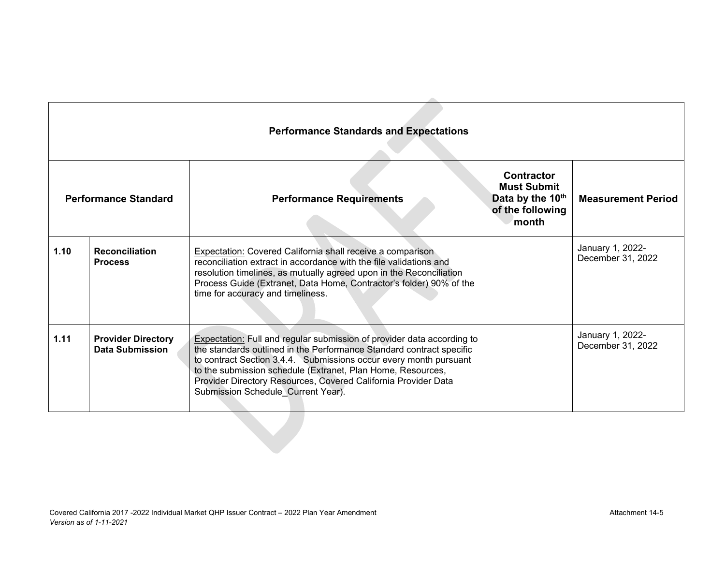| <b>Performance Standard</b> |                                              | <b>Performance Requirements</b>                                                                                                                                                                                                                                                                                                                                                            | <b>Contractor</b><br><b>Must Submit</b><br>Data by the 10th<br>of the following<br>month | <b>Measurement Period</b>             |
|-----------------------------|----------------------------------------------|--------------------------------------------------------------------------------------------------------------------------------------------------------------------------------------------------------------------------------------------------------------------------------------------------------------------------------------------------------------------------------------------|------------------------------------------------------------------------------------------|---------------------------------------|
| 1.10                        | <b>Reconciliation</b><br><b>Process</b>      | <b>Expectation:</b> Covered California shall receive a comparison<br>reconciliation extract in accordance with the file validations and<br>resolution timelines, as mutually agreed upon in the Reconciliation<br>Process Guide (Extranet, Data Home, Contractor's folder) 90% of the<br>time for accuracy and timeliness.                                                                 |                                                                                          | January 1, 2022-<br>December 31, 2022 |
| 1.11                        | <b>Provider Directory</b><br>Data Submission | Expectation: Full and regular submission of provider data according to<br>the standards outlined in the Performance Standard contract specific<br>to contract Section 3.4.4. Submissions occur every month pursuant<br>to the submission schedule (Extranet, Plan Home, Resources,<br>Provider Directory Resources, Covered California Provider Data<br>Submission Schedule Current Year). |                                                                                          | January 1, 2022-<br>December 31, 2022 |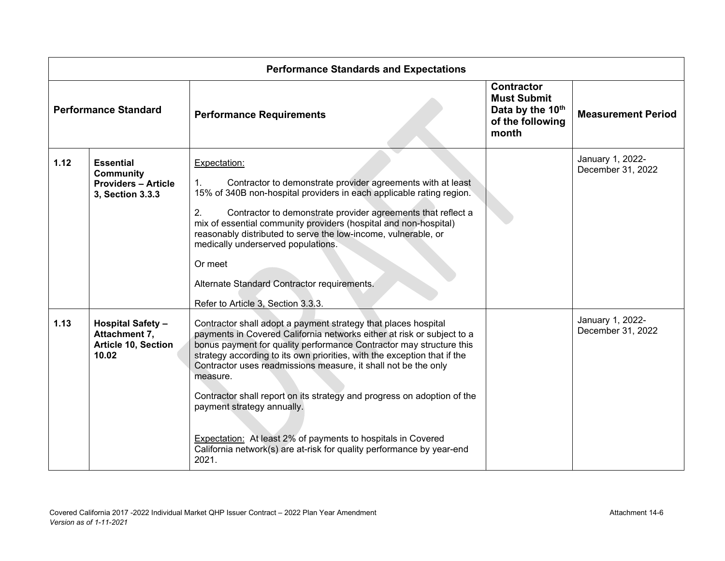| <b>Performance Standards and Expectations</b> |                                                                                        |                                                                                                                                                                                                                                                                                                                                                                                                                                                                                                                                                                                                                                             |                                                                                          |                                       |
|-----------------------------------------------|----------------------------------------------------------------------------------------|---------------------------------------------------------------------------------------------------------------------------------------------------------------------------------------------------------------------------------------------------------------------------------------------------------------------------------------------------------------------------------------------------------------------------------------------------------------------------------------------------------------------------------------------------------------------------------------------------------------------------------------------|------------------------------------------------------------------------------------------|---------------------------------------|
| <b>Performance Standard</b>                   |                                                                                        | <b>Performance Requirements</b>                                                                                                                                                                                                                                                                                                                                                                                                                                                                                                                                                                                                             | <b>Contractor</b><br><b>Must Submit</b><br>Data by the 10th<br>of the following<br>month | <b>Measurement Period</b>             |
| 1.12                                          | <b>Essential</b><br><b>Community</b><br><b>Providers - Article</b><br>3, Section 3.3.3 | Expectation:<br>Contractor to demonstrate provider agreements with at least<br>$\mathbf{1}$ .<br>15% of 340B non-hospital providers in each applicable rating region.<br>2.<br>Contractor to demonstrate provider agreements that reflect a<br>mix of essential community providers (hospital and non-hospital)<br>reasonably distributed to serve the low-income, vulnerable, or<br>medically underserved populations.<br>Or meet<br>Alternate Standard Contractor requirements.<br>Refer to Article 3, Section 3.3.3.                                                                                                                     |                                                                                          | January 1, 2022-<br>December 31, 2022 |
| 1.13                                          | <b>Hospital Safety -</b><br>Attachment 7,<br><b>Article 10, Section</b><br>10.02       | Contractor shall adopt a payment strategy that places hospital<br>payments in Covered California networks either at risk or subject to a<br>bonus payment for quality performance Contractor may structure this<br>strategy according to its own priorities, with the exception that if the<br>Contractor uses readmissions measure, it shall not be the only<br>measure.<br>Contractor shall report on its strategy and progress on adoption of the<br>payment strategy annually.<br><b>Expectation:</b> At least 2% of payments to hospitals in Covered<br>California network(s) are at-risk for quality performance by year-end<br>2021. |                                                                                          | January 1, 2022-<br>December 31, 2022 |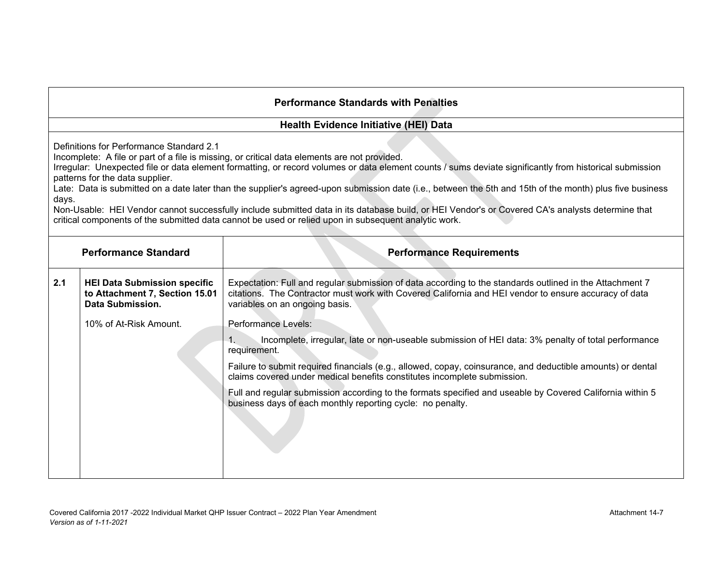#### **Health Evidence Initiative (HEI) Data**

Definitions for Performance Standard 2.1

Incomplete: A file or part of a file is missing, or critical data elements are not provided.

Irregular: Unexpected file or data element formatting, or record volumes or data element counts / sums deviate significantly from historical submission patterns for the data supplier.

Late: Data is submitted on a date later than the supplier's agreed-upon submission date (i.e., between the 5th and 15th of the month) plus five business days.

Non-Usable: HEI Vendor cannot successfully include submitted data in its database build, or HEI Vendor's or Covered CA's analysts determine that critical components of the submitted data cannot be used or relied upon in subsequent analytic work.

| <b>Performance Standard</b> |                                                                                           | <b>Performance Requirements</b>                                                                                                                                                                                                                     |
|-----------------------------|-------------------------------------------------------------------------------------------|-----------------------------------------------------------------------------------------------------------------------------------------------------------------------------------------------------------------------------------------------------|
| 2.1                         | <b>HEI Data Submission specific</b><br>to Attachment 7, Section 15.01<br>Data Submission. | Expectation: Full and regular submission of data according to the standards outlined in the Attachment 7<br>citations. The Contractor must work with Covered California and HEI vendor to ensure accuracy of data<br>variables on an ongoing basis. |
|                             | 10% of At-Risk Amount.                                                                    | Performance Levels:                                                                                                                                                                                                                                 |
|                             |                                                                                           | Incomplete, irregular, late or non-useable submission of HEI data: 3% penalty of total performance<br>requirement.                                                                                                                                  |
|                             |                                                                                           | Failure to submit required financials (e.g., allowed, copay, coinsurance, and deductible amounts) or dental<br>claims covered under medical benefits constitutes incomplete submission.                                                             |
|                             |                                                                                           | Full and regular submission according to the formats specified and useable by Covered California within 5<br>business days of each monthly reporting cycle: no penalty.                                                                             |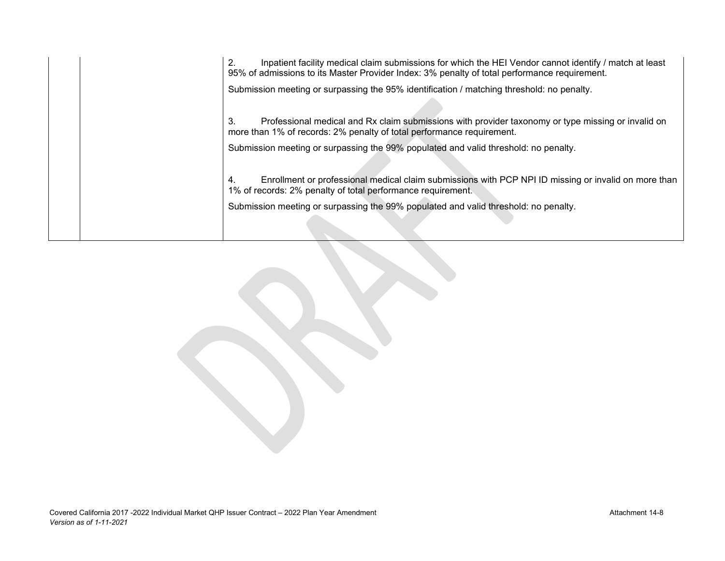2. Inpatient facility medical claim submissions for which the HEI Vendor cannot identify / match at least 95% of admissions to its Master Provider Index: 3% penalty of total performance requirement.

Submission meeting or surpassing the 95% identification / matching threshold: no penalty.

3. Professional medical and Rx claim submissions with provider taxonomy or type missing or invalid on more than 1% of records: 2% penalty of total performance requirement.

Submission meeting or surpassing the 99% populated and valid threshold: no penalty.

4. Enrollment or professional medical claim submissions with PCP NPI ID missing or invalid on more than 1% of records: 2% penalty of total performance requirement.

Submission meeting or surpassing the 99% populated and valid threshold: no penalty.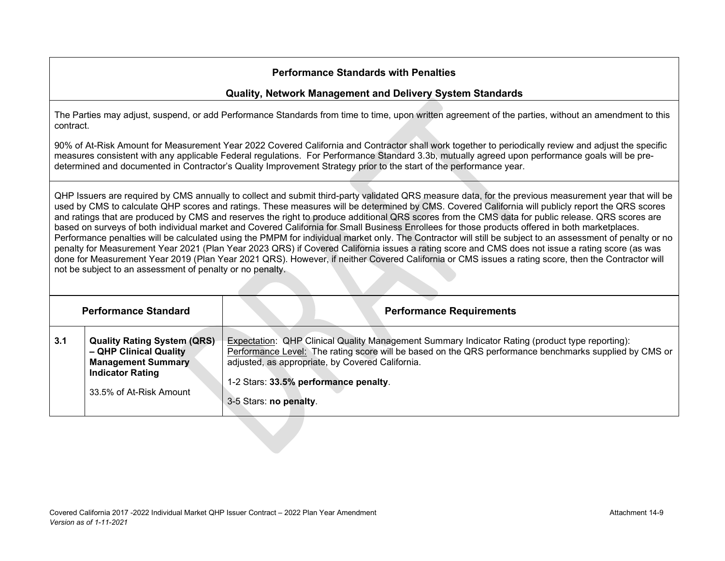#### **Quality, Network Management and Delivery System Standards**

The Parties may adjust, suspend, or add Performance Standards from time to time, upon written agreement of the parties, without an amendment to this contract.

90% of At-Risk Amount for Measurement Year 2022 Covered California and Contractor shall work together to periodically review and adjust the specific measures consistent with any applicable Federal regulations. For Performance Standard 3.3b, mutually agreed upon performance goals will be predetermined and documented in Contractor's Quality Improvement Strategy prior to the start of the performance year.

QHP Issuers are required by CMS annually to collect and submit third-party validated QRS measure data, for the previous measurement year that will be used by CMS to calculate QHP scores and ratings. These measures will be determined by CMS. Covered California will publicly report the QRS scores and ratings that are produced by CMS and reserves the right to produce additional QRS scores from the CMS data for public release. QRS scores are based on surveys of both individual market and Covered California for Small Business Enrollees for those products offered in both marketplaces. Performance penalties will be calculated using the PMPM for individual market only. The Contractor will still be subject to an assessment of penalty or no penalty for Measurement Year 2021 (Plan Year 2023 QRS) if Covered California issues a rating score and CMS does not issue a rating score (as was done for Measurement Year 2019 (Plan Year 2021 QRS). However, if neither Covered California or CMS issues a rating score, then the Contractor will not be subject to an assessment of penalty or no penalty.

| <b>Performance Standard</b> |                                                                                                                                                 | <b>Performance Requirements</b>                                                                                                                                                                                                                                                                                                  |
|-----------------------------|-------------------------------------------------------------------------------------------------------------------------------------------------|----------------------------------------------------------------------------------------------------------------------------------------------------------------------------------------------------------------------------------------------------------------------------------------------------------------------------------|
| 3.1                         | <b>Quality Rating System (QRS)</b><br>- QHP Clinical Quality<br><b>Management Summary</b><br><b>Indicator Rating</b><br>33.5% of At-Risk Amount | Expectation: QHP Clinical Quality Management Summary Indicator Rating (product type reporting):<br>Performance Level: The rating score will be based on the QRS performance benchmarks supplied by CMS or<br>adjusted, as appropriate, by Covered California.<br>1-2 Stars: 33.5% performance penalty.<br>3-5 Stars: no penalty. |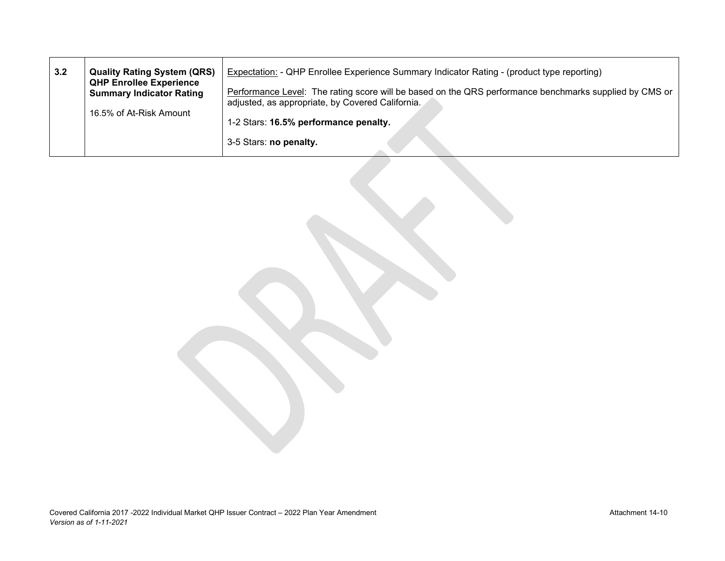| 3.2 | <b>Quality Rating System (QRS)</b><br><b>QHP Enrollee Experience</b> | Expectation: - QHP Enrollee Experience Summary Indicator Rating - (product type reporting)             |
|-----|----------------------------------------------------------------------|--------------------------------------------------------------------------------------------------------|
|     | <b>Summary Indicator Rating</b>                                      | Performance Level: The rating score will be based on the QRS performance benchmarks supplied by CMS or |
|     |                                                                      | adjusted, as appropriate, by Covered California.                                                       |
|     | 16.5% of At-Risk Amount                                              | 1-2 Stars: 16.5% performance penalty.                                                                  |
|     |                                                                      | 3-5 Stars: no penalty.                                                                                 |
|     |                                                                      |                                                                                                        |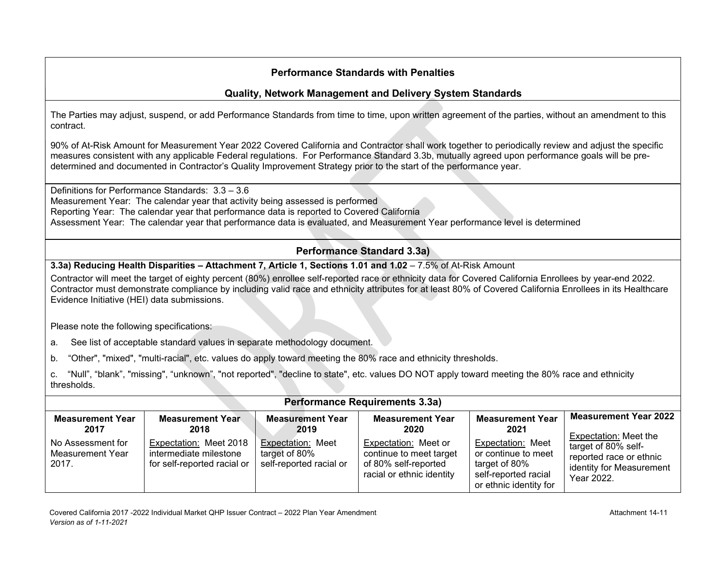## **Quality, Network Management and Delivery System Standards**

The Parties may adjust, suspend, or add Performance Standards from time to time, upon written agreement of the parties, without an amendment to this contract.

90% of At-Risk Amount for Measurement Year 2022 Covered California and Contractor shall work together to periodically review and adjust the specific measures consistent with any applicable Federal regulations. For Performance Standard 3.3b, mutually agreed upon performance goals will be predetermined and documented in Contractor's Quality Improvement Strategy prior to the start of the performance year.

Definitions for Performance Standards: 3.3 – 3.6 Measurement Year: The calendar year that activity being assessed is performed Reporting Year: The calendar year that performance data is reported to Covered California Assessment Year: The calendar year that performance data is evaluated, and Measurement Year performance level is determined

## **Performance Standard 3.3a)**

#### **3.3a) Reducing Health Disparities – Attachment 7, Article 1, Sections 1.01 and 1.02 – 7.5% of At-Risk Amount**

Contractor will meet the target of eighty percent (80%) enrollee self-reported race or ethnicity data for Covered California Enrollees by year-end 2022. Contractor must demonstrate compliance by including valid race and ethnicity attributes for at least 80% of Covered California Enrollees in its Healthcare Evidence Initiative (HEI) data submissions.

Please note the following specifications:

a. See list of acceptable standard values in separate methodology document.

b. "Other", "mixed", "multi-racial", etc. values do apply toward meeting the 80% race and ethnicity thresholds.

c. "Null", "blank", "missing", "unknown", "not reported", "decline to state", etc. values DO NOT apply toward meeting the 80% race and ethnicity thresholds.

| <b>Performance Requirements 3.3a)</b>          |                                                                                 |                                                                      |                                                                                                      |                                                                                                             |                                                                                          |
|------------------------------------------------|---------------------------------------------------------------------------------|----------------------------------------------------------------------|------------------------------------------------------------------------------------------------------|-------------------------------------------------------------------------------------------------------------|------------------------------------------------------------------------------------------|
| <b>Measurement Year</b><br>2017                | <b>Measurement Year</b><br>2018                                                 | <b>Measurement Year</b><br>2019                                      | <b>Measurement Year</b><br>2020                                                                      | <b>Measurement Year</b><br>2021                                                                             | <b>Measurement Year 2022</b><br>Expectation: Meet the                                    |
| No Assessment for<br>Measurement Year<br>2017. | Expectation: Meet 2018<br>intermediate milestone<br>for self-reported racial or | <b>Expectation: Meet</b><br>target of 80%<br>self-reported racial or | Expectation: Meet or<br>continue to meet target<br>of 80% self-reported<br>racial or ethnic identity | Expectation: Meet<br>or continue to meet<br>target of 80%<br>self-reported racial<br>or ethnic identity for | target of 80% self-<br>reported race or ethnic<br>identity for Measurement<br>Year 2022. |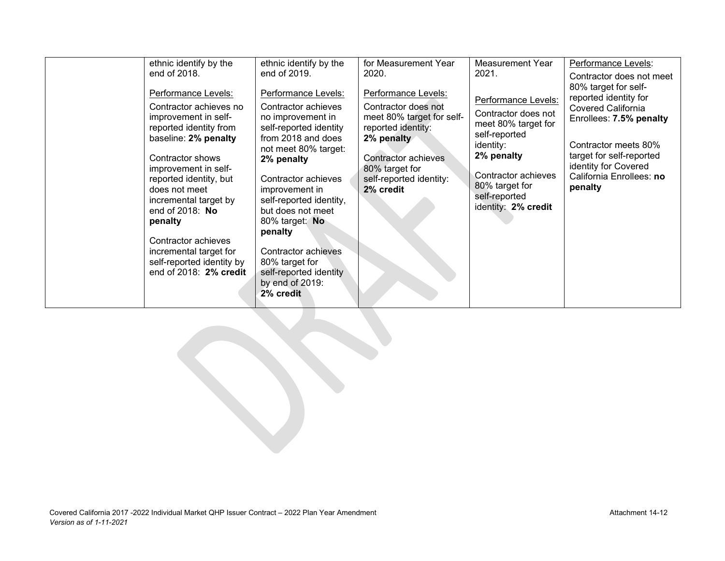| end of 2018.<br>Performance Levels:<br>Contractor achieves no<br>improvement in self-<br>reported identity from<br>baseline: 2% penalty<br>Contractor shows<br>improvement in self-<br>reported identity, but<br>does not meet<br>incremental target by<br>end of $2018$ : No<br>penalty<br>Contractor achieves<br>incremental target for<br>self-reported identity by<br>end of 2018: 2% credit | end of 2019.<br>Performance Levels:<br>Contractor achieves<br>no improvement in<br>self-reported identity<br>from 2018 and does<br>not meet 80% target:<br>2% penalty<br>Contractor achieves<br>improvement in<br>self-reported identity,<br>but does not meet<br>80% target: No<br>penalty<br>Contractor achieves<br>80% target for<br>self-reported identity<br>by end of 2019:<br>2% credit | 2020.<br>Performance Levels:<br>Contractor does not<br>meet 80% target for self-<br>reported identity:<br>2% penalty<br>Contractor achieves<br>80% target for<br>self-reported identity:<br>2% credit | 2021.<br>Performance Levels:<br>Contractor does not<br>meet 80% target for<br>self-reported<br>identity:<br>2% penalty<br>Contractor achieves<br>80% target for<br>self-reported<br>identity: 2% credit | Contractor does not meet<br>80% target for self-<br>reported identity for<br><b>Covered California</b><br>Enrollees: 7.5% penalty<br>Contractor meets 80%<br>target for self-reported<br>identity for Covered<br>California Enrollees: no<br>penalty |
|--------------------------------------------------------------------------------------------------------------------------------------------------------------------------------------------------------------------------------------------------------------------------------------------------------------------------------------------------------------------------------------------------|------------------------------------------------------------------------------------------------------------------------------------------------------------------------------------------------------------------------------------------------------------------------------------------------------------------------------------------------------------------------------------------------|-------------------------------------------------------------------------------------------------------------------------------------------------------------------------------------------------------|---------------------------------------------------------------------------------------------------------------------------------------------------------------------------------------------------------|------------------------------------------------------------------------------------------------------------------------------------------------------------------------------------------------------------------------------------------------------|
| ethnic identify by the                                                                                                                                                                                                                                                                                                                                                                           | ethnic identify by the                                                                                                                                                                                                                                                                                                                                                                         | for Measurement Year                                                                                                                                                                                  | Measurement Year                                                                                                                                                                                        | Performance Levels:                                                                                                                                                                                                                                  |
|                                                                                                                                                                                                                                                                                                                                                                                                  |                                                                                                                                                                                                                                                                                                                                                                                                |                                                                                                                                                                                                       |                                                                                                                                                                                                         |                                                                                                                                                                                                                                                      |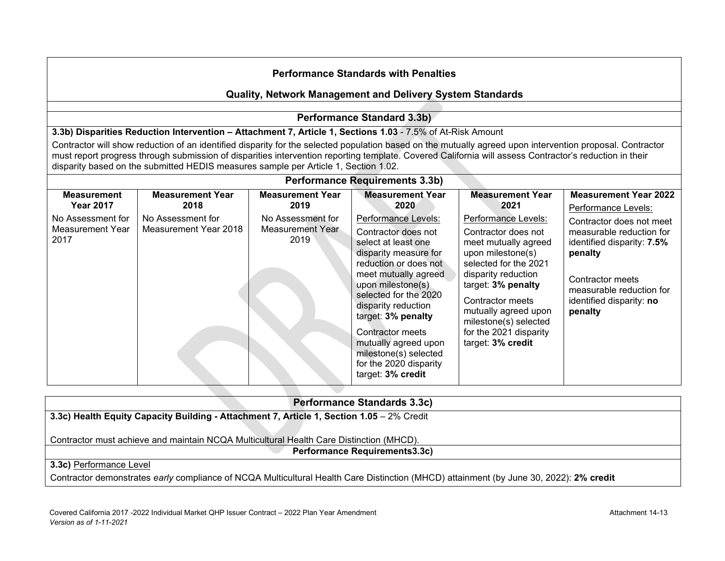#### **Quality, Network Management and Delivery System Standards**

## **Performance Standard 3.3b)**

**3.3b) Disparities Reduction Intervention – Attachment 7, Article 1, Sections 1.03** - 7.5% of At-Risk Amount

Contractor will show reduction of an identified disparity for the selected population based on the mutually agreed upon intervention proposal. Contractor must report progress through submission of disparities intervention reporting template. Covered California will assess Contractor's reduction in their disparity based on the submitted HEDIS measures sample per Article 1, Section 1.02.

|                                                                                                | <b>Performance Requirements 3.3b)</b>                                         |                                                                                  |                                                                                                                                                                                                     |                                                                                                                                                                                                  |                                                                                                                                                                          |  |  |
|------------------------------------------------------------------------------------------------|-------------------------------------------------------------------------------|----------------------------------------------------------------------------------|-----------------------------------------------------------------------------------------------------------------------------------------------------------------------------------------------------|--------------------------------------------------------------------------------------------------------------------------------------------------------------------------------------------------|--------------------------------------------------------------------------------------------------------------------------------------------------------------------------|--|--|
| <b>Measurement</b><br><b>Year 2017</b><br>No Assessment for<br><b>Measurement Year</b><br>2017 | <b>Measurement Year</b><br>2018<br>No Assessment for<br>Measurement Year 2018 | <b>Measurement Year</b><br>2019<br>No Assessment for<br>Measurement Year<br>2019 | <b>Measurement Year</b><br>2020<br>Performance Levels:<br>Contractor does not<br>select at least one<br>disparity measure for<br>reduction or does not<br>meet mutually agreed<br>upon milestone(s) | <b>Measurement Year</b><br>2021<br>Performance Levels:<br>Contractor does not<br>meet mutually agreed<br>upon milestone(s)<br>selected for the 2021<br>disparity reduction<br>target: 3% penalty | <b>Measurement Year 2022</b><br>Performance Levels:<br>Contractor does not meet<br>measurable reduction for<br>identified disparity: 7.5%<br>penalty<br>Contractor meets |  |  |
|                                                                                                |                                                                               |                                                                                  | selected for the 2020<br>disparity reduction<br>target: 3% penalty<br>Contractor meets<br>mutually agreed upon<br>milestone(s) selected<br>for the 2020 disparity<br>target: 3% credit              | Contractor meets<br>mutually agreed upon<br>milestone(s) selected<br>for the 2021 disparity<br>target: 3% credit                                                                                 | measurable reduction for<br>identified disparity: no<br>penalty                                                                                                          |  |  |

# **Performance Standards 3.3c) 3.3c) Health Equity Capacity Building - Attachment 7, Article 1, Section 1.05** – 2% Credit Contractor must achieve and maintain NCQA Multicultural Health Care Distinction (MHCD). **Performance Requirements3.3c) 3.3c)** Performance Level Contractor demonstrates *early* compliance of NCQA Multicultural Health Care Distinction (MHCD) attainment (by June 30, 2022): **2% credit**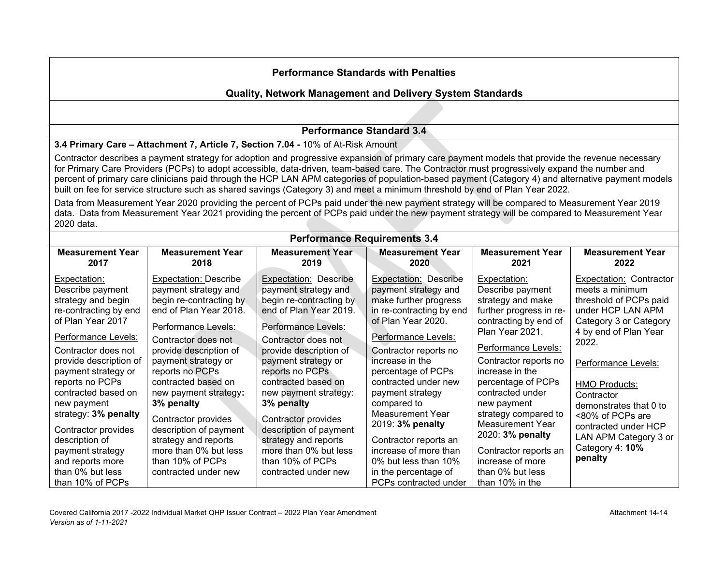## **Quality, Network Management and Delivery System Standards**

# **Performance Standard 3.4**

**3.4 Primary Care – Attachment 7, Article 7, Section 7.04 -** 10% of At-Risk Amount

Contractor describes a payment strategy for adoption and progressive expansion of primary care payment models that provide the revenue necessary for Primary Care Providers (PCPs) to adopt accessible, data-driven, team-based care. The Contractor must progressively expand the number and percent of primary care clinicians paid through the HCP LAN APM categories of population-based payment (Category 4) and alternative payment models built on fee for service structure such as shared savings (Category 3) and meet a minimum threshold by end of Plan Year 2022.

Data from Measurement Year 2020 providing the percent of PCPs paid under the new payment strategy will be compared to Measurement Year 2019 data. Data from Measurement Year 2021 providing the percent of PCPs paid under the new payment strategy will be compared to Measurement Year 2020 data.

| <b>Performance Requirements 3.4</b>                                                                                                                                                                                           |                                                                                                                                                                                                                             |                                                                                                                                                                                                                             |                                                                                                                                                                                                                                                  |                                                                                                                                                                                                                              |                                                                                                                                                                 |  |
|-------------------------------------------------------------------------------------------------------------------------------------------------------------------------------------------------------------------------------|-----------------------------------------------------------------------------------------------------------------------------------------------------------------------------------------------------------------------------|-----------------------------------------------------------------------------------------------------------------------------------------------------------------------------------------------------------------------------|--------------------------------------------------------------------------------------------------------------------------------------------------------------------------------------------------------------------------------------------------|------------------------------------------------------------------------------------------------------------------------------------------------------------------------------------------------------------------------------|-----------------------------------------------------------------------------------------------------------------------------------------------------------------|--|
| <b>Measurement Year</b>                                                                                                                                                                                                       | <b>Measurement Year</b>                                                                                                                                                                                                     | <b>Measurement Year</b>                                                                                                                                                                                                     | <b>Measurement Year</b>                                                                                                                                                                                                                          | <b>Measurement Year</b>                                                                                                                                                                                                      | <b>Measurement Year</b>                                                                                                                                         |  |
| 2017                                                                                                                                                                                                                          | 2018                                                                                                                                                                                                                        | 2019                                                                                                                                                                                                                        | 2020                                                                                                                                                                                                                                             | 2021                                                                                                                                                                                                                         | 2022                                                                                                                                                            |  |
| Expectation:                                                                                                                                                                                                                  | <b>Expectation: Describe</b>                                                                                                                                                                                                | Expectation: Describe                                                                                                                                                                                                       | <b>Expectation: Describe</b>                                                                                                                                                                                                                     | Expectation:                                                                                                                                                                                                                 | Expectation: Contractor                                                                                                                                         |  |
| Describe payment                                                                                                                                                                                                              | payment strategy and                                                                                                                                                                                                        | payment strategy and                                                                                                                                                                                                        | payment strategy and                                                                                                                                                                                                                             | Describe payment                                                                                                                                                                                                             | meets a minimum                                                                                                                                                 |  |
| strategy and begin                                                                                                                                                                                                            | begin re-contracting by                                                                                                                                                                                                     | begin re-contracting by                                                                                                                                                                                                     | make further progress                                                                                                                                                                                                                            | strategy and make                                                                                                                                                                                                            | threshold of PCPs paid                                                                                                                                          |  |
| re-contracting by end                                                                                                                                                                                                         | end of Plan Year 2018.                                                                                                                                                                                                      | end of Plan Year 2019.                                                                                                                                                                                                      | in re-contracting by end                                                                                                                                                                                                                         | further progress in re-                                                                                                                                                                                                      | under HCP LAN APM                                                                                                                                               |  |
| of Plan Year 2017                                                                                                                                                                                                             | Performance Levels:                                                                                                                                                                                                         | Performance Levels:                                                                                                                                                                                                         | of Plan Year 2020.                                                                                                                                                                                                                               | contracting by end of                                                                                                                                                                                                        | Category 3 or Category                                                                                                                                          |  |
| Performance Levels:                                                                                                                                                                                                           | Contractor does not                                                                                                                                                                                                         | Contractor does not                                                                                                                                                                                                         | Performance Levels:                                                                                                                                                                                                                              | Plan Year 2021.                                                                                                                                                                                                              | 4 by end of Plan Year                                                                                                                                           |  |
| Contractor does not                                                                                                                                                                                                           | provide description of                                                                                                                                                                                                      | provide description of                                                                                                                                                                                                      | Contractor reports no                                                                                                                                                                                                                            | Performance Levels:                                                                                                                                                                                                          | 2022.                                                                                                                                                           |  |
| provide description of                                                                                                                                                                                                        | payment strategy or                                                                                                                                                                                                         | payment strategy or                                                                                                                                                                                                         | increase in the                                                                                                                                                                                                                                  | Contractor reports no                                                                                                                                                                                                        | Performance Levels:                                                                                                                                             |  |
| payment strategy or<br>reports no PCPs<br>contracted based on<br>new payment<br>strategy: 3% penalty<br>Contractor provides<br>description of<br>payment strategy<br>and reports more<br>than 0% but less<br>than 10% of PCPs | reports no PCPs<br>contracted based on<br>new payment strategy:<br>3% penalty<br>Contractor provides<br>description of payment<br>strategy and reports<br>more than 0% but less<br>than 10% of PCPs<br>contracted under new | reports no PCPs<br>contracted based on<br>new payment strategy:<br>3% penalty<br>Contractor provides<br>description of payment<br>strategy and reports<br>more than 0% but less<br>than 10% of PCPs<br>contracted under new | percentage of PCPs<br>contracted under new<br>payment strategy<br>compared to<br>Measurement Year<br>2019: 3% penalty<br>Contractor reports an<br>increase of more than<br>0% but less than 10%<br>in the percentage of<br>PCPs contracted under | increase in the<br>percentage of PCPs<br>contracted under<br>new payment<br>strategy compared to<br>Measurement Year<br>2020: 3% penalty<br>Contractor reports an<br>increase of more<br>than 0% but less<br>than 10% in the | <b>HMO Products:</b><br>Contractor<br>demonstrates that 0 to<br><80% of PCPs are<br>contracted under HCP<br>LAN APM Category 3 or<br>Category 4: 10%<br>penalty |  |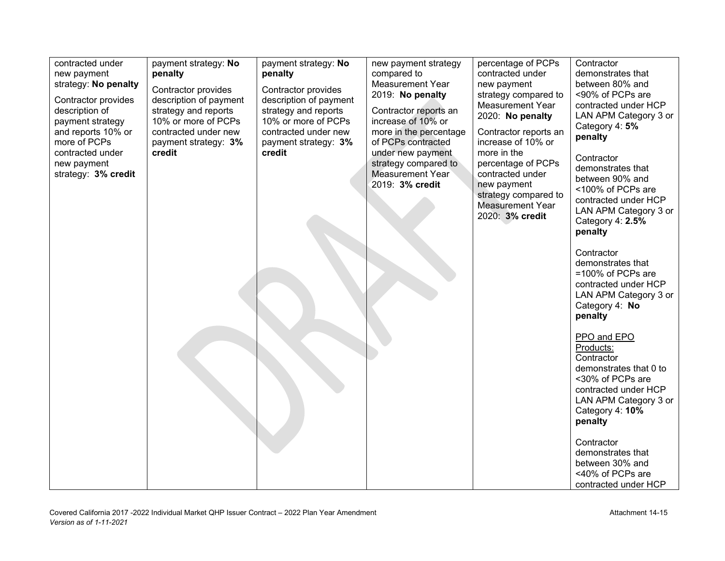| contracted under<br>new payment<br>strategy: No penalty<br>Contractor provides<br>description of<br>payment strategy<br>and reports 10% or<br>more of PCPs<br>contracted under<br>new payment<br>strategy: 3% credit | payment strategy: No<br>penalty<br>Contractor provides<br>description of payment<br>strategy and reports<br>10% or more of PCPs<br>contracted under new<br>payment strategy: 3%<br>credit | payment strategy: No<br>penalty<br>Contractor provides<br>description of payment<br>strategy and reports<br>10% or more of PCPs<br>contracted under new<br>payment strategy: 3%<br>credit | new payment strategy<br>compared to<br><b>Measurement Year</b><br>2019: No penalty<br>Contractor reports an<br>increase of 10% or<br>more in the percentage<br>of PCPs contracted<br>under new payment<br>strategy compared to<br>Measurement Year<br>2019: 3% credit | percentage of PCPs<br>contracted under<br>new payment<br>strategy compared to<br><b>Measurement Year</b><br>2020: No penalty<br>Contractor reports an<br>increase of 10% or<br>more in the<br>percentage of PCPs<br>contracted under<br>new payment<br>strategy compared to<br><b>Measurement Year</b><br>2020: 3% credit | Contractor<br>demonstrates that<br>between 80% and<br><90% of PCPs are<br>contracted under HCP<br>LAN APM Category 3 or<br>Category 4: 5%<br>penalty<br>Contractor<br>demonstrates that<br>between 90% and<br><100% of PCPs are<br>contracted under HCP<br>LAN APM Category 3 or<br>Category 4: 2.5%<br>penalty<br>Contractor<br>demonstrates that<br>=100% of PCPs are<br>contracted under HCP<br>LAN APM Category 3 or |
|----------------------------------------------------------------------------------------------------------------------------------------------------------------------------------------------------------------------|-------------------------------------------------------------------------------------------------------------------------------------------------------------------------------------------|-------------------------------------------------------------------------------------------------------------------------------------------------------------------------------------------|-----------------------------------------------------------------------------------------------------------------------------------------------------------------------------------------------------------------------------------------------------------------------|---------------------------------------------------------------------------------------------------------------------------------------------------------------------------------------------------------------------------------------------------------------------------------------------------------------------------|--------------------------------------------------------------------------------------------------------------------------------------------------------------------------------------------------------------------------------------------------------------------------------------------------------------------------------------------------------------------------------------------------------------------------|
|                                                                                                                                                                                                                      |                                                                                                                                                                                           |                                                                                                                                                                                           |                                                                                                                                                                                                                                                                       |                                                                                                                                                                                                                                                                                                                           | Category 4: No<br>penalty<br>PPO and EPO<br>Products:<br>Contractor<br>demonstrates that 0 to<br><30% of PCPs are<br>contracted under HCP<br>LAN APM Category 3 or<br>Category 4: 10%<br>penalty<br>Contractor<br>demonstrates that<br>between 30% and<br><40% of PCPs are<br>contracted under HCP                                                                                                                       |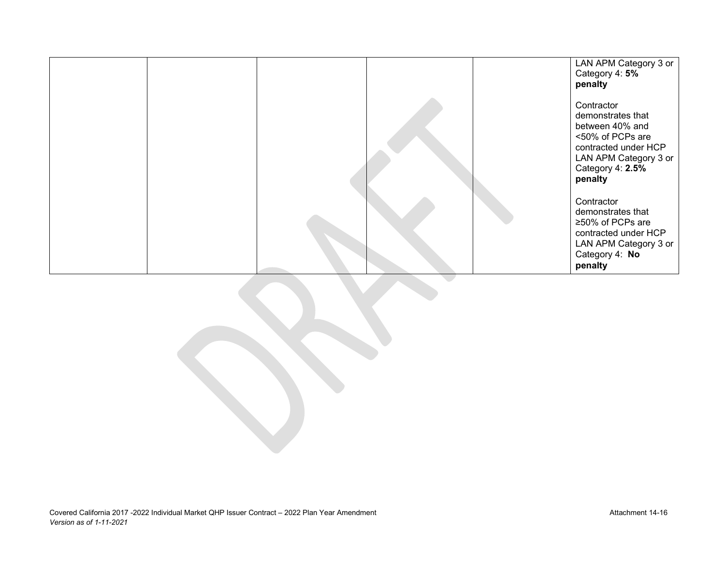|  |  | LAN APM Category 3 or<br>Category 4: 5%<br>penalty                                                                                                     |
|--|--|--------------------------------------------------------------------------------------------------------------------------------------------------------|
|  |  | Contractor<br>demonstrates that<br>between 40% and<br><50% of PCPs are<br>contracted under HCP<br>LAN APM Category 3 or<br>Category 4: 2.5%<br>penalty |
|  |  | Contractor<br>demonstrates that<br>≥50% of PCPs are<br>contracted under HCP<br>LAN APM Category 3 or<br>Category 4: No<br>penalty                      |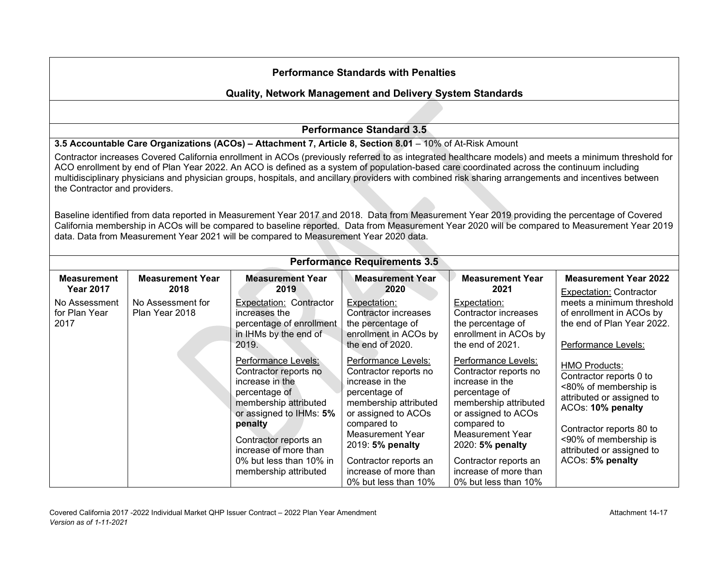|                                        | <b>Performance Standards with Penalties</b>                                                                                                                                                                                                                                                                                                                                                                                                                                                                                                                                                                                                                                                                                                                                                                                                                                              |                                                                                                                                                                                                   |                                                                                                                                                                                                |                                                                                                                                                                                                |                                                                                                                                                                                                              |  |  |  |
|----------------------------------------|------------------------------------------------------------------------------------------------------------------------------------------------------------------------------------------------------------------------------------------------------------------------------------------------------------------------------------------------------------------------------------------------------------------------------------------------------------------------------------------------------------------------------------------------------------------------------------------------------------------------------------------------------------------------------------------------------------------------------------------------------------------------------------------------------------------------------------------------------------------------------------------|---------------------------------------------------------------------------------------------------------------------------------------------------------------------------------------------------|------------------------------------------------------------------------------------------------------------------------------------------------------------------------------------------------|------------------------------------------------------------------------------------------------------------------------------------------------------------------------------------------------|--------------------------------------------------------------------------------------------------------------------------------------------------------------------------------------------------------------|--|--|--|
|                                        | Quality, Network Management and Delivery System Standards                                                                                                                                                                                                                                                                                                                                                                                                                                                                                                                                                                                                                                                                                                                                                                                                                                |                                                                                                                                                                                                   |                                                                                                                                                                                                |                                                                                                                                                                                                |                                                                                                                                                                                                              |  |  |  |
|                                        |                                                                                                                                                                                                                                                                                                                                                                                                                                                                                                                                                                                                                                                                                                                                                                                                                                                                                          |                                                                                                                                                                                                   |                                                                                                                                                                                                |                                                                                                                                                                                                |                                                                                                                                                                                                              |  |  |  |
|                                        |                                                                                                                                                                                                                                                                                                                                                                                                                                                                                                                                                                                                                                                                                                                                                                                                                                                                                          |                                                                                                                                                                                                   | <b>Performance Standard 3.5</b>                                                                                                                                                                |                                                                                                                                                                                                |                                                                                                                                                                                                              |  |  |  |
|                                        |                                                                                                                                                                                                                                                                                                                                                                                                                                                                                                                                                                                                                                                                                                                                                                                                                                                                                          | 3.5 Accountable Care Organizations (ACOs) - Attachment 7, Article 8, Section 8.01 - 10% of At-Risk Amount                                                                                         |                                                                                                                                                                                                |                                                                                                                                                                                                |                                                                                                                                                                                                              |  |  |  |
|                                        | Contractor increases Covered California enrollment in ACOs (previously referred to as integrated healthcare models) and meets a minimum threshold for<br>ACO enrollment by end of Plan Year 2022. An ACO is defined as a system of population-based care coordinated across the continuum including<br>multidisciplinary physicians and physician groups, hospitals, and ancillary providers with combined risk sharing arrangements and incentives between<br>the Contractor and providers.<br>Baseline identified from data reported in Measurement Year 2017 and 2018. Data from Measurement Year 2019 providing the percentage of Covered<br>California membership in ACOs will be compared to baseline reported. Data from Measurement Year 2020 will be compared to Measurement Year 2019<br>data. Data from Measurement Year 2021 will be compared to Measurement Year 2020 data. |                                                                                                                                                                                                   |                                                                                                                                                                                                |                                                                                                                                                                                                |                                                                                                                                                                                                              |  |  |  |
|                                        |                                                                                                                                                                                                                                                                                                                                                                                                                                                                                                                                                                                                                                                                                                                                                                                                                                                                                          |                                                                                                                                                                                                   | <b>Performance Requirements 3.5</b>                                                                                                                                                            |                                                                                                                                                                                                |                                                                                                                                                                                                              |  |  |  |
| <b>Measurement</b><br><b>Year 2017</b> | <b>Measurement Year</b><br>2018                                                                                                                                                                                                                                                                                                                                                                                                                                                                                                                                                                                                                                                                                                                                                                                                                                                          | <b>Measurement Year</b><br>2019                                                                                                                                                                   | <b>Measurement Year</b><br>2020                                                                                                                                                                | <b>Measurement Year</b><br>2021                                                                                                                                                                | <b>Measurement Year 2022</b><br><b>Expectation: Contractor</b>                                                                                                                                               |  |  |  |
| No Assessment<br>for Plan Year<br>2017 | No Assessment for<br>Plan Year 2018                                                                                                                                                                                                                                                                                                                                                                                                                                                                                                                                                                                                                                                                                                                                                                                                                                                      | Expectation: Contractor<br>increases the<br>percentage of enrollment<br>in IHMs by the end of<br>2019.                                                                                            | Expectation:<br><b>Contractor increases</b><br>the percentage of<br>enrollment in ACOs by<br>the end of 2020.                                                                                  | Expectation:<br><b>Contractor increases</b><br>the percentage of<br>enrollment in ACOs by<br>the end of 2021.                                                                                  | meets a minimum threshold<br>of enrollment in ACOs by<br>the end of Plan Year 2022.<br>Performance Levels:                                                                                                   |  |  |  |
|                                        |                                                                                                                                                                                                                                                                                                                                                                                                                                                                                                                                                                                                                                                                                                                                                                                                                                                                                          | Performance Levels:<br>Contractor reports no<br>increase in the<br>percentage of<br>membership attributed<br>or assigned to IHMs: 5%<br>penalty<br>Contractor reports an<br>increase of more than | Performance Levels:<br>Contractor reports no<br>increase in the<br>percentage of<br>membership attributed<br>or assigned to ACOs<br>compared to<br><b>Measurement Year</b><br>2019: 5% penalty | Performance Levels:<br>Contractor reports no<br>increase in the<br>percentage of<br>membership attributed<br>or assigned to ACOs<br>compared to<br><b>Measurement Year</b><br>2020: 5% penalty | <b>HMO Products:</b><br>Contractor reports 0 to<br><80% of membership is<br>attributed or assigned to<br>ACOs: 10% penalty<br>Contractor reports 80 to<br><90% of membership is<br>attributed or assigned to |  |  |  |
|                                        |                                                                                                                                                                                                                                                                                                                                                                                                                                                                                                                                                                                                                                                                                                                                                                                                                                                                                          | 0% but less than 10% in<br>membership attributed                                                                                                                                                  | Contractor reports an<br>increase of more than<br>0% but less than 10%                                                                                                                         | Contractor reports an<br>increase of more than<br>0% but less than 10%                                                                                                                         | ACOs: 5% penalty                                                                                                                                                                                             |  |  |  |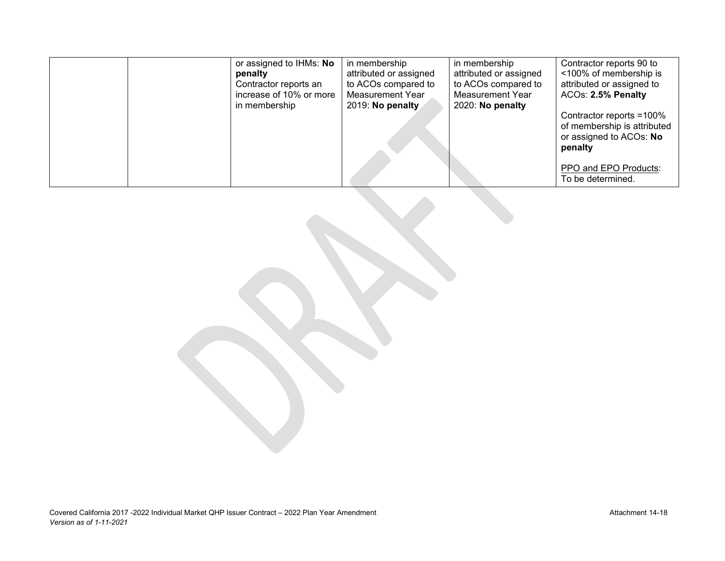|  | or assigned to IHMs: No | in membership          | in membership          | Contractor reports 90 to                                                                      |
|--|-------------------------|------------------------|------------------------|-----------------------------------------------------------------------------------------------|
|  | penalty                 | attributed or assigned | attributed or assigned | <100% of membership is                                                                        |
|  | Contractor reports an   | to ACOs compared to    | to ACOs compared to    | attributed or assigned to                                                                     |
|  | increase of 10% or more | Measurement Year       | Measurement Year       | ACOs: 2.5% Penalty                                                                            |
|  | in membership           | 2019: No penalty       | 2020: No penalty       |                                                                                               |
|  |                         |                        |                        | Contractor reports =100%<br>of membership is attributed<br>or assigned to ACOs: No<br>penalty |
|  |                         |                        |                        | PPO and EPO Products:<br>To be determined.                                                    |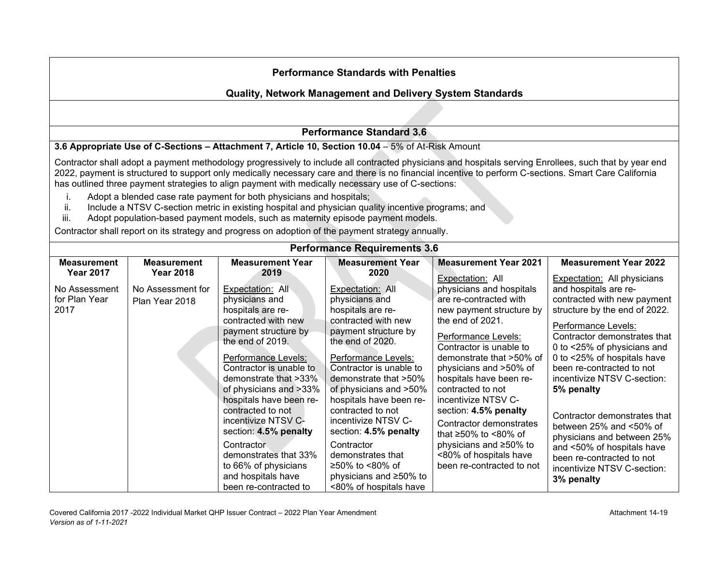## **Quality, Network Management and Delivery System Standards**

#### **Performance Standard 3.6**

#### **3.6 Appropriate Use of C-Sections – Attachment 7, Article 10, Section 10.04** – 5% of At-Risk Amount

Contractor shall adopt a payment methodology progressively to include all contracted physicians and hospitals serving Enrollees, such that by year end 2022, payment is structured to support only medically necessary care and there is no financial incentive to perform C-sections. Smart Care California has outlined three payment strategies to align payment with medically necessary use of C-sections:

- i. Adopt a blended case rate payment for both physicians and hospitals;
- Include a NTSV C-section metric in existing hospital and physician quality incentive programs; and
- iii. Adopt population-based payment models, such as maternity episode payment models.

Contractor shall report on its strategy and progress on adoption of the payment strategy annually.

| <b>Performance Requirements 3.6</b>    |                                     |                                                                                                                                                                                                                                 |                                                                                                                                                                                                                                 |                                                                                                                                                                                                                                                            |                                                                                                                                                                                                                                                                                      |  |  |  |
|----------------------------------------|-------------------------------------|---------------------------------------------------------------------------------------------------------------------------------------------------------------------------------------------------------------------------------|---------------------------------------------------------------------------------------------------------------------------------------------------------------------------------------------------------------------------------|------------------------------------------------------------------------------------------------------------------------------------------------------------------------------------------------------------------------------------------------------------|--------------------------------------------------------------------------------------------------------------------------------------------------------------------------------------------------------------------------------------------------------------------------------------|--|--|--|
| <b>Measurement</b>                     | <b>Measurement</b>                  | <b>Measurement Year</b>                                                                                                                                                                                                         | <b>Measurement Year</b>                                                                                                                                                                                                         | <b>Measurement Year 2021</b>                                                                                                                                                                                                                               | <b>Measurement Year 2022</b>                                                                                                                                                                                                                                                         |  |  |  |
| <b>Year 2017</b>                       | <b>Year 2018</b>                    | 2019                                                                                                                                                                                                                            | 2020                                                                                                                                                                                                                            | Expectation: All                                                                                                                                                                                                                                           | <b>Expectation:</b> All physicians                                                                                                                                                                                                                                                   |  |  |  |
| No Assessment<br>for Plan Year<br>2017 | No Assessment for<br>Plan Year 2018 | Expectation: All<br>physicians and<br>hospitals are re-<br>contracted with new<br>payment structure by<br>the end of 2019.<br>Performance Levels:<br>Contractor is unable to<br>demonstrate that >33%<br>of physicians and >33% | Expectation: All<br>physicians and<br>hospitals are re-<br>contracted with new<br>payment structure by<br>the end of 2020.<br>Performance Levels:<br>Contractor is unable to<br>demonstrate that >50%<br>of physicians and >50% | physicians and hospitals<br>are re-contracted with<br>new payment structure by<br>the end of 2021.<br>Performance Levels:<br>Contractor is unable to<br>demonstrate that >50% of<br>physicians and >50% of<br>hospitals have been re-<br>contracted to not | and hospitals are re-<br>contracted with new payment<br>structure by the end of 2022.<br>Performance Levels:<br>Contractor demonstrates that<br>0 to <25% of physicians and<br>0 to <25% of hospitals have<br>been re-contracted to not<br>incentivize NTSV C-section:<br>5% penalty |  |  |  |
|                                        |                                     | hospitals have been re-<br>contracted to not<br>incentivize NTSV C-<br>section: 4.5% penalty<br>Contractor<br>demonstrates that 33%<br>to 66% of physicians<br>and hospitals have<br>been re-contracted to                      | hospitals have been re-<br>contracted to not<br>incentivize NTSV C-<br>section: 4.5% penalty<br>Contractor<br>demonstrates that<br>≥50% to <80% of<br>physicians and ≥50% to<br><80% of hospitals have                          | incentivize NTSV C-<br>section: 4.5% penalty<br>Contractor demonstrates<br>that $\geq 50\%$ to <80% of<br>physicians and ≥50% to<br><80% of hospitals have<br>been re-contracted to not                                                                    | Contractor demonstrates that<br>between $25%$ and $\leq 50%$ of<br>physicians and between 25%<br>and <50% of hospitals have<br>been re-contracted to not<br>incentivize NTSV C-section:<br>3% penalty                                                                                |  |  |  |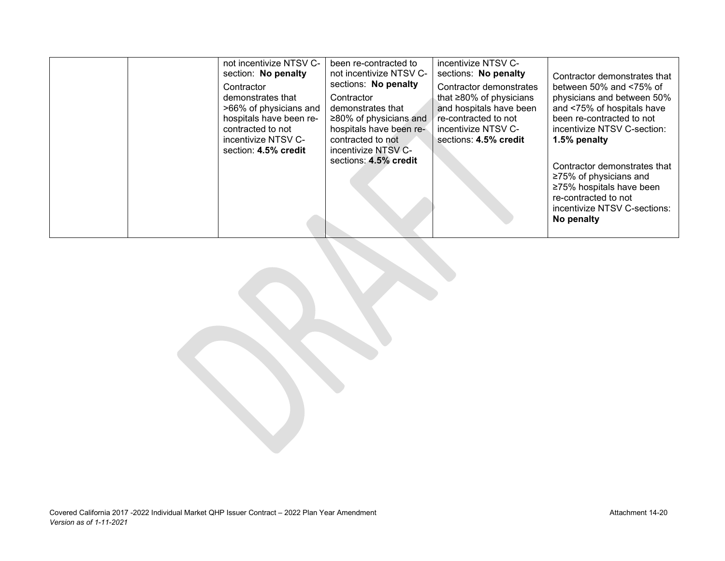|  | not incentivize NTSV C-<br>section: No penalty<br>Contractor<br>demonstrates that<br>>66% of physicians and<br>hospitals have been re-<br>contracted to not<br>incentivize NTSV C-<br>section: 4.5% credit | been re-contracted to<br>not incentivize NTSV C-<br>sections: No penalty<br>Contractor<br>demonstrates that<br>$\geq$ 80% of physicians and<br>hospitals have been re-<br>contracted to not<br>incentivize NTSV C-<br>sections: 4.5% credit | incentivize NTSV C-<br>sections: No penalty<br>Contractor demonstrates<br>that $\geq 80\%$ of physicians<br>and hospitals have been<br>re-contracted to not<br>incentivize NTSV C-<br>sections: 4.5% credit | Contractor demonstrates that<br>between 50% and $<75%$ of<br>physicians and between 50%<br>and <75% of hospitals have<br>been re-contracted to not<br>incentivize NTSV C-section:<br>1.5% penalty<br>Contractor demonstrates that<br>$\geq$ 75% of physicians and<br>≥75% hospitals have been<br>re-contracted to not<br>incentivize NTSV C-sections:<br>No penalty |
|--|------------------------------------------------------------------------------------------------------------------------------------------------------------------------------------------------------------|---------------------------------------------------------------------------------------------------------------------------------------------------------------------------------------------------------------------------------------------|-------------------------------------------------------------------------------------------------------------------------------------------------------------------------------------------------------------|---------------------------------------------------------------------------------------------------------------------------------------------------------------------------------------------------------------------------------------------------------------------------------------------------------------------------------------------------------------------|
|--|------------------------------------------------------------------------------------------------------------------------------------------------------------------------------------------------------------|---------------------------------------------------------------------------------------------------------------------------------------------------------------------------------------------------------------------------------------------|-------------------------------------------------------------------------------------------------------------------------------------------------------------------------------------------------------------|---------------------------------------------------------------------------------------------------------------------------------------------------------------------------------------------------------------------------------------------------------------------------------------------------------------------------------------------------------------------|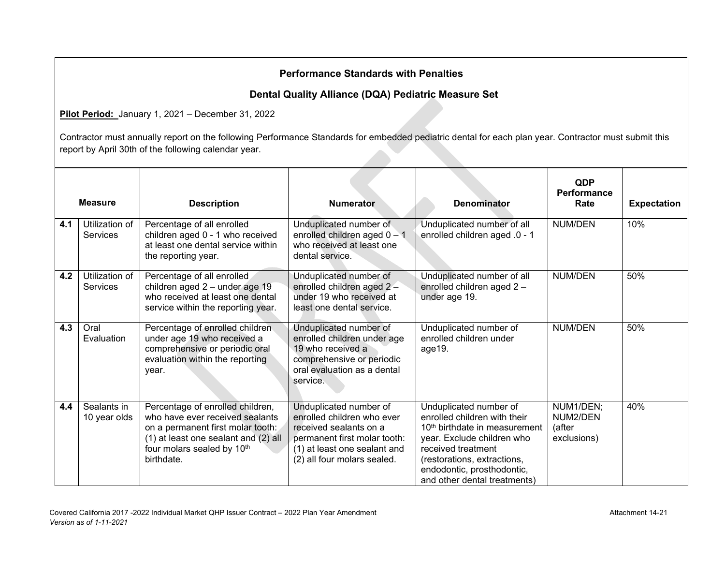## **Dental Quality Alliance (DQA) Pediatric Measure Set**

**Pilot Period:** January 1, 2021 – December 31, 2022

|     | <b>Measure</b>                    | <b>Description</b>                                                                                                                                                                           | <b>Numerator</b>                                                                                                                                                              | <b>Denominator</b>                                                                                                                                                                                                                                   | QDP<br>Performance<br>Rate                     | <b>Expectation</b> |
|-----|-----------------------------------|----------------------------------------------------------------------------------------------------------------------------------------------------------------------------------------------|-------------------------------------------------------------------------------------------------------------------------------------------------------------------------------|------------------------------------------------------------------------------------------------------------------------------------------------------------------------------------------------------------------------------------------------------|------------------------------------------------|--------------------|
| 4.1 | Utilization of<br><b>Services</b> | Percentage of all enrolled<br>children aged 0 - 1 who received<br>at least one dental service within<br>the reporting year.                                                                  | Unduplicated number of<br>enrolled children aged 0 - 1<br>who received at least one<br>dental service.                                                                        | Unduplicated number of all<br>enrolled children aged .0 - 1                                                                                                                                                                                          | <b>NUM/DEN</b>                                 | 10%                |
| 4.2 | Utilization of<br>Services        | Percentage of all enrolled<br>children aged 2 - under age 19<br>who received at least one dental<br>service within the reporting year.                                                       | Unduplicated number of<br>enrolled children aged 2-<br>under 19 who received at<br>least one dental service.                                                                  | Unduplicated number of all<br>enrolled children aged 2 -<br>under age 19.                                                                                                                                                                            | <b>NUM/DEN</b>                                 | 50%                |
| 4.3 | Oral<br>Evaluation                | Percentage of enrolled children.<br>under age 19 who received a<br>comprehensive or periodic oral<br>evaluation within the reporting<br>year.                                                | Unduplicated number of<br>enrolled children under age<br>19 who received a<br>comprehensive or periodic<br>oral evaluation as a dental<br>service.                            | Unduplicated number of<br>enrolled children under<br>age19.                                                                                                                                                                                          | <b>NUM/DEN</b>                                 | 50%                |
| 4.4 | Sealants in<br>10 year olds       | Percentage of enrolled children,<br>who have ever received sealants<br>on a permanent first molar tooth:<br>(1) at least one sealant and (2) all<br>four molars sealed by 10th<br>birthdate. | Unduplicated number of<br>enrolled children who ever<br>received sealants on a<br>permanent first molar tooth:<br>(1) at least one sealant and<br>(2) all four molars sealed. | Unduplicated number of<br>enrolled children with their<br>10 <sup>th</sup> birthdate in measurement<br>year. Exclude children who<br>received treatment<br>(restorations, extractions,<br>endodontic, prosthodontic,<br>and other dental treatments) | NUM1/DEN;<br>NUM2/DEN<br>(after<br>exclusions) | 40%                |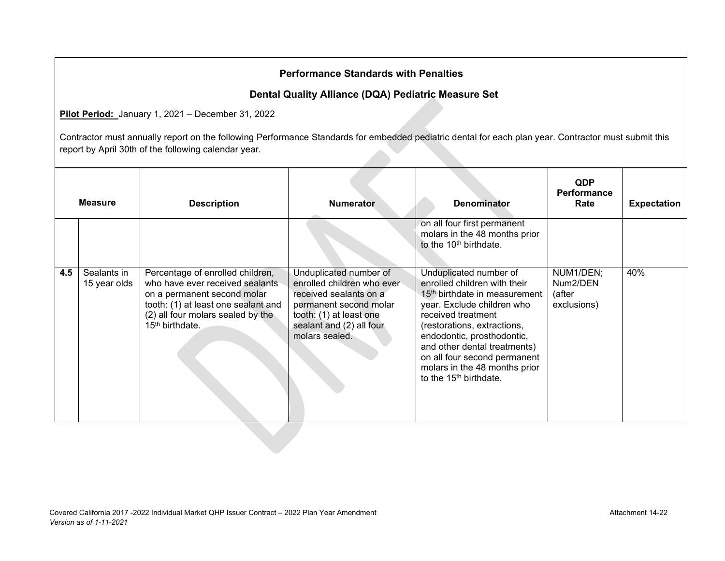## **Dental Quality Alliance (DQA) Pediatric Measure Set**

**Pilot Period:** January 1, 2021 – December 31, 2022

|     | <b>Measure</b>              | <b>Description</b>                                                                                                                                                                                            | <b>Numerator</b>                                                                                                                                                                  | <b>Denominator</b>                                                                                                                                                                                                                                                                                                                                          | <b>QDP</b><br><b>Performance</b><br>Rate       | <b>Expectation</b> |
|-----|-----------------------------|---------------------------------------------------------------------------------------------------------------------------------------------------------------------------------------------------------------|-----------------------------------------------------------------------------------------------------------------------------------------------------------------------------------|-------------------------------------------------------------------------------------------------------------------------------------------------------------------------------------------------------------------------------------------------------------------------------------------------------------------------------------------------------------|------------------------------------------------|--------------------|
|     |                             |                                                                                                                                                                                                               |                                                                                                                                                                                   | on all four first permanent<br>molars in the 48 months prior<br>to the 10 <sup>th</sup> birthdate.                                                                                                                                                                                                                                                          |                                                |                    |
| 4.5 | Sealants in<br>15 year olds | Percentage of enrolled children,<br>who have ever received sealants<br>on a permanent second molar<br>tooth: (1) at least one sealant and<br>(2) all four molars sealed by the<br>15 <sup>th</sup> birthdate. | Unduplicated number of<br>enrolled children who ever<br>received sealants on a<br>permanent second molar<br>tooth: (1) at least one<br>sealant and (2) all four<br>molars sealed. | Unduplicated number of<br>enrolled children with their<br>15 <sup>th</sup> birthdate in measurement<br>year. Exclude children who<br>received treatment<br>(restorations, extractions,<br>endodontic, prosthodontic,<br>and other dental treatments)<br>on all four second permanent<br>molars in the 48 months prior<br>to the 15 <sup>th</sup> birthdate. | NUM1/DEN;<br>Num2/DEN<br>(after<br>exclusions) | 40%                |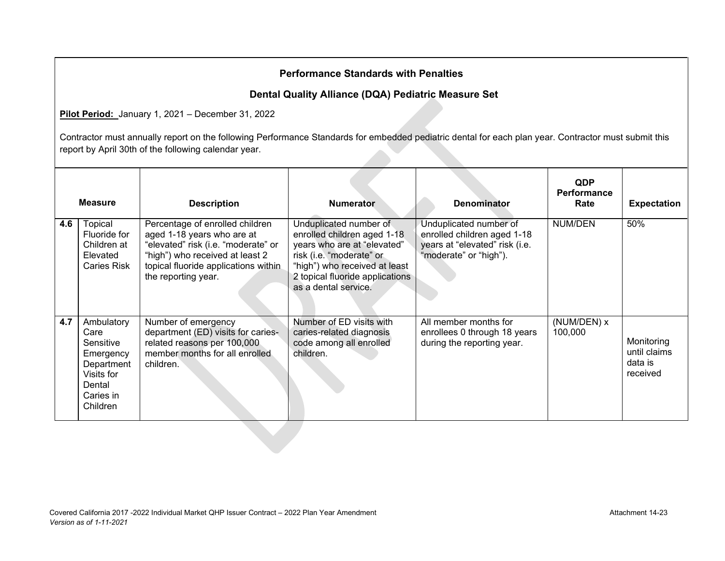## **Dental Quality Alliance (DQA) Pediatric Measure Set**

**Pilot Period:** January 1, 2021 – December 31, 2022

|     | <b>Measure</b>                                                                                              | <b>Description</b>                                                                                                                                                                                     | <b>Numerator</b>                                                                                                                                                                                             | <b>Denominator</b>                                                                                                | <b>QDP</b><br><b>Performance</b><br>Rate | <b>Expectation</b>                                |
|-----|-------------------------------------------------------------------------------------------------------------|--------------------------------------------------------------------------------------------------------------------------------------------------------------------------------------------------------|--------------------------------------------------------------------------------------------------------------------------------------------------------------------------------------------------------------|-------------------------------------------------------------------------------------------------------------------|------------------------------------------|---------------------------------------------------|
| 4.6 | Topical<br>Fluoride for<br>Children at<br>Elevated<br><b>Caries Risk</b>                                    | Percentage of enrolled children<br>aged 1-18 years who are at<br>"elevated" risk (i.e. "moderate" or<br>"high") who received at least 2<br>topical fluoride applications within<br>the reporting year. | Unduplicated number of<br>enrolled children aged 1-18<br>years who are at "elevated"<br>risk (i.e. "moderate" or<br>"high") who received at least<br>2 topical fluoride applications<br>as a dental service. | Unduplicated number of<br>enrolled children aged 1-18<br>years at "elevated" risk (i.e.<br>"moderate" or "high"). | <b>NUM/DEN</b>                           | 50%                                               |
| 4.7 | Ambulatory<br>Care<br>Sensitive<br>Emergency<br>Department<br>Visits for<br>Dental<br>Caries in<br>Children | Number of emergency<br>department (ED) visits for caries-<br>related reasons per 100,000<br>member months for all enrolled<br>children.                                                                | Number of ED visits with<br>caries-related diagnosis<br>code among all enrolled<br>children.                                                                                                                 | All member months for<br>enrollees 0 through 18 years<br>during the reporting year.                               | (NUM/DEN) x<br>100,000                   | Monitoring<br>until claims<br>data is<br>received |